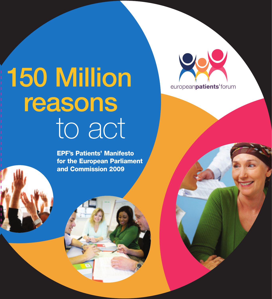# **150 Million reasons**  to act

**EPF's Patients' Manifesto for the European Parliament and Commission 2009**

europeanpatients'forum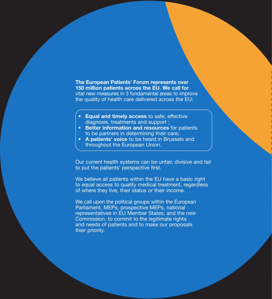**The European Patients' Forum represents over 150 million patients across the EU. We call for** vital new measures in 3 fundamental areas to improve the quality of health care delivered across the EU:

- **Equal and timely access** to safe, effective diagnosis, treatments and support ;
- **Better information and resources** for patients to be partners in determining their care;
- **A patients' voice** to be heard in Brussels and throughout the European Union.

Our current health systems can be unfair, divisive and fail to put the patients' perspective first.

We believe all patients within the EU have a basic right to equal access to quality medical treatment, regardless of where they live, their status or their income.

We call upon the political groups within the European Parliament, MEPs, prospective MEPs, national representatives in EU Member States, and the new Commission, to commit to the legitimate rights and needs of patients and to make our proposals their priority.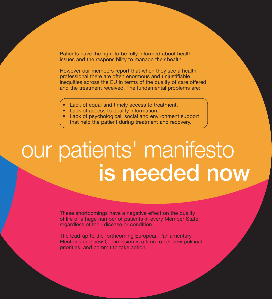Patients have the right to be fully informed about health issues and the responsibility to manage their health.

However our members report that when they see a health professional there are often enormous and unjustifiable inequities across the EU in terms of the quality of care offered, and the treatment received. The fundamental problems are:

- Lack of equal and timely access to treatment,
- Lack of access to quality information,
- Lack of psychological, social and environment support that help the patient during treatment and recovery.

## our patients' manifesto **is needed now**

These shortcomings have a negative effect on the quality of life of a huge number of patients in every Member State, regardless of their disease or condition.

The lead-up to the forthcoming European Parliamentary Elections and new Commission is a time to set new political priorities, and commit to take action.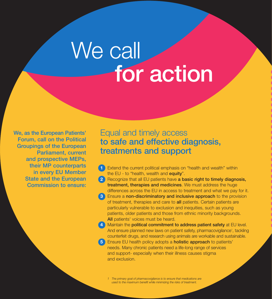# We call **for action**

**We, as the European Patients' Forum, call on the Political Groupings of the European Parliament, current and prospective MEPs, their MP counterparts in every EU Member State and the European Commission to ensure:**

### Equal and timely access **to safe and effective diagnosis, treatments and support**

- **1** Extend the current political emphasis on "health and wealth" within the EU - to "health, wealth and **equity**".
- **2** Recognize that all EU patients have **a basic right to timely diagnosis, treatment, therapies and medicines**. We must address the huge differences across the EU in access to treatment and what we pay for it.
- **3** Ensure a **non-discriminatory and inclusive approach** to the provision of treatment, therapies and care to **all** patients. Certain patients are particularly vulnerable to exclusion and inequities, such as young patients, older patients and those from ethnic minority backgrounds. **All** patients' voices must be heard.
- **4** Maintain the **political commitment to address patient safety** at EU level. And ensure planned new laws on patient safety, pharmacovigilance<sup>1</sup>, tackling counterfeit drugs, and research using animals are workable and sustainable.
- **5** Ensure EU health policy adopts a **holistic approach** to patients' needs. Many chronic patients need a life-long range of services and support- especially when their illness causes stigma and exclusion.

*1 The primary goal of pharmacovigilance is to ensure that medications are used to the maximum benefit while minimizing the risks of treatment.*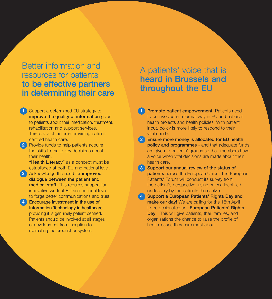### Better information and resources for patients **to be effective partners in determining their care**

- **1** Support a determined EU strategy to **improve the quality of information** given to patients about their medication, treatment, rehabilitation and support services. This is a vital factor in providing patientcentred health care.
- **2** Provide funds to help patients acquire the skills to make key decisions about their health.

**"Health Literacy"** as a concept must be established at both EU and national level.

- **3** Acknowledge the need for **improved dialogue between the patient and medical staff.** This requires support for innovative work at EU and national level to forge better communications and trust.
- **4 Encourage investment in the use of Information Technology in healthcare** providing it is genuinely patient centred. Patients should be involved at all stages of development from inception to evaluating the product or system.

### A patients' voice that is **heard in Brussels and throughout the EU**

- **1 Promote patient empowerment!** Patients need to be involved in a formal way in EU and national health projects and health policies. With patient input, policy is more likely to respond to their vital needs.
- **2 Ensure more money is allocated for EU health policy and programmes** - and that adequate funds are given to patients' groups so their members have a voice when vital decisions are made about their health care.
- **3 Support our annual review of the status of patients** across the European Union. The European Patients' Forum will conduct its survey from the patient's perspective, using criteria identified exclusively by the patients themselves.
- **4 Support a European Patients' Rights Day and make our day!** We are calling for the 18th April to be designated as **"European Patients' Rights Day"**. This will give patients, their families, and organisations the chance to raise the profile of health issues they care most about.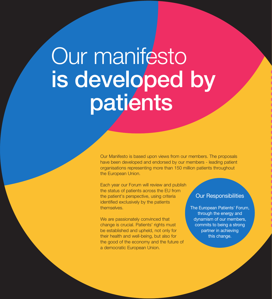# Our manifesto **is developed by patients**

Our Manifesto is based upon views from our members. The proposals have been developed and endorsed by our members - leading patient organisations representing more than 150 million patients throughout the European Union.

Each year our Forum will review and publish the status of patients across the EU from the patient's perspective, using criteria identified exclusively by the patients **themselves** 

We are passionately convinced that change is crucial. Patients' rights must be established and upheld, not only for their health and well-being, but also for the good of the economy and the future of a democratic European Union.

#### Our Responsibilities

The European Patients' Forum, through the energy and dynamism of our members, commits to being a strong partner in achieving this change.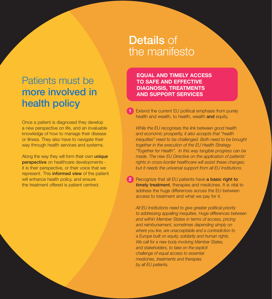## Patients must be **more involved in health policy**

Once a patient is diagnosed they develop a new perspective on life, and an invaluable knowledge of how to manage their disease or illness. They also have to navigate their way through health services and systems.

Along the way they will form their own **unique perspective** on healthcare developments it is their perspective, or their voice that we represent. This **informed view** of the patient will enhance health policy, and ensure the treatment offered is patient centred.

## **Details** of the manifesto

**EQUAL AND TIMELY ACCESS TO SAFE AND EFFECTIVE DIAGNOSIS, TREATMENTS AND SUPPORT SERVICES**

**1** Extend the current EU political emphasis from purely health and wealth, to health, wealth **and** equity.

*While the EU recognises the link between good health and economic prosperity, it also accepts that "health inequities" need to be challenged. Both need to be brought together in the execution of the EU Health Strategy "Together for Health". In this way tangible progress can be made. The new EU Directive on the application of patients' rights in cross-border healthcare will assist these changes; but it needs the universal support from all EU Institutions.*

**2** Recognize that all EU patients have **a basic right to timely treatment**, therapies and medicines. It is vital to address the huge differences across the EU between access to treatment and what we pay for it.

*All EU Institutions need to give greater political priority to addressing appalling inequities. Huge differences between and within Member States in terms of access, pricing and reimbursement, sometimes depending simply on where you live, are unacceptable and a contradiction to a Europe built on equity, solidarity and human rights. We call for a new body involving Member States, and stakeholders, to take on the explicit challenge of equal access to essential medicines, treatments and therapies by all EU patients.*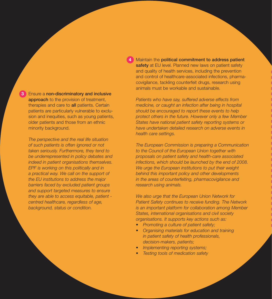**3** Ensure a **non-discriminatory and inclusive approach** to the provision of treatment, therapies and care to **all** patients. Certain patients are particularly vulnerable to exclusion and inequities, such as young patients, older patients and those from an ethnic minority background.

*The perspective and the real life situation of such patients is often ignored or not taken seriously. Furthermore, they tend to be underrepresented in policy debates and indeed in patient organisations themselves. EPF is working on this politically and in a practical way. We call on the support of the EU institutions to address the major barriers faced by excluded patient groups and support targeted measures to ensure they are able to access equitable, patient centred healthcare, regardless of age, background, status or condition.*

**4** Maintain the **political commitment to address patient**  safety at EU level. Planned new laws on patient safety and quality of health services, including the prevention and control of healthcare-associated infections, pharmacovigilance, tackling counterfeit drugs, research using animals must be workable and sustainable.

*Patients who have say, suffered adverse effects from medicine, or caught an infection after being in hospital should be encouraged to report these events to help protect others in the future. However only a few Member States have national patient safety reporting systems or have undertaken detailed research on adverse events in health care settings.* 

*The European Commission is preparing a Communication to the Council of the European Union together with proposals on patient safety and health-care associated infections, which should be launched by the end of 2008. We urge the European institutions to put their weight behind this important policy and other developments in the areas of counterfeiting, pharmacovigilance and research using animals.*

*We also urge that the European Union Network for Patient Safety continues to receive funding. The Network is an important platform for collaboration among Member States, international organisations and civil society organisations. It supports key actions such as:*

- *Promoting a culture of patient safety;*
- *Organising materials for education and training in patient safety of health professionals, decision-makers, patients;*
- *Implementing reporting systems;*
- *Testing tools of medication safety*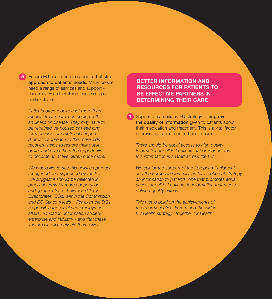**5** Ensure EU health policies adopt **a holistic approach to patients' needs.** Many people need a range of services and support especially when their illness causes stigma and exclusion.

*Patients often require a lot more than medical treatment when coping with an illness or disease. They may have to be retrained, re-housed or need long term physical or emotional support. A holistic approach to their care aids recovery, helps to restore their quality of life, and gives them the opportunity to become an active citizen once more.*

*We would like to see this holistic approach recognized and supported by the EU. We suggest it should be reflected in practical terms by more cooperation and 'joint ventures' between different Directorates (DGs) within the Commission and DG Sanco (Health). For example DGs responsible for social and employment affairs, education, information society, enterprise and industry - and that these ventures involve patients themselves.*

**BETTER INFORMATION AND RESOURCES FOR PATIENTS TO BE EFFECTIVE PARTNERS IN DETERMINING THEIR CARE**

**1** Support an ambitious EU strategy to **improve the quality of information** given to patients about their medication and treatment. This is a vital factor in providing patient centred health care.

*There should be equal access to high quality Information for all EU patients. It is important that this information is shared across the EU.*

*We call for the support of the European Parliament and the European Commission for a coherent strategy on information to patients, one that promotes equal access for all EU patients to information that meets defined quality criteria.*

*This would build on the achievements of the Pharmaceutical Forum and the wider EU Health strategy 'Together for Health'.*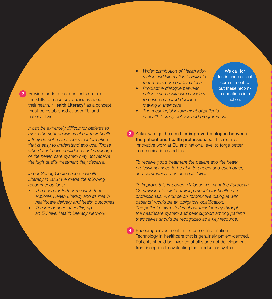**2** Provide funds to help patients acquire the skills to make key decisions about their health. **"Health Literacy"** as a concept must be established at both EU and national level.

*It can be extremely difficult for patients to make the right decisions about their health if they do not have access to information that is easy to understand and use. Those who do not have confidence or knowledge of the health care system may not receive the high quality treatment they deserve.*

*In our Spring Conference on Health Literacy in 2008 we made the following recommendations:*

- *The need for further research that explores Health Literacy and its role in healthcare delivery and health outcomes*
- *The importance of setting up an EU level Health Literacy Network*
- *Wider distribution of Health information and Information to Patients that meets core quality criteria*
- *Productive dialogue between patients and healthcare providers to ensured shared decisionmaking in their care*

We call for funds and political commitment to put these recommendations into action.

- *The meaningful involvement of patients in health literacy policies and programmes.*
- **3** Acknowledge the need for **improved dialogue between the patient and health professionals**. This requires innovative work at EU and national level to forge better communications and trust.

*To receive good treatment the patient and the health professional need to be able to understand each other, and communicate on an equal level.*

*To improve this important dialogue we want the European Commission to pilot a training module for health care professionals. A course on "productive dialogue with patients" would be an obligatory qualification. The patients' own stories about their journey through the healthcare system and peer support among patients themselves should be recognized as a key resource.* 

**4** Encourage investment in the use of Information Technology in healthcare that is genuinely patient-centred. Patients should be involved at all stages of development from inception to evaluating the product or system.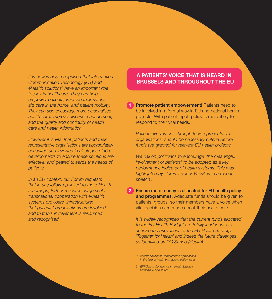*It is now widely recognised that Information Communication Technology (ICT) and eHealth solutions2 have an important role to play in healthcare. They can help empower patients, improve their safety, aid care in the home, and patient mobility. They can also encourage more personalised health care; improve disease management, and the quality and continuity of health care and health information.*

*However it is vital that patients and their representative organisations are appropriately consulted and involved in all stages of ICT developments to ensure these solutions are effective, and geared towards the needs of patients.*

*In an EU context, our Forum requests that in any follow-up linked to the e-Health roadmaps; further research; large scale transnational cooperation with e-health systems providers, infrastructure; that patients' organisations are involved and that this involvement is resourced and recognised.* 

#### **A PATIENTS' VOICE THAT IS HEARD IN BRUSSELS AND THROUGHOUT THE EU**

**1 Promote patient empowerment!** Patients need to be involved in a formal way in EU and national health projects. With patient input, policy is more likely to respond to their vital needs.

*Patient involvement, through their representative organisations, should be necessary criteria before funds are granted for relevant EU health projects.*

*We call on politicians to encourage 'the meaningful involvement of patients' to be adopted as a key performance indicator of health systems. This was highlighted by Commissioner Vassiliou in a recent speech3 .*

**2 Ensure more money is allocated for EU health policy and programmes**. Adequate funds should be given to patients' groups, so their members have a voice when vital decisions are made about their health care.

*It is widely recognised that the current funds allocated to the EU Health Budget are totally inadequate to achieve the aspirations of the EU Health Strategy - 'Together for Health' and indeed the future challenges as identified by DG Sanco (Health).*

- *2 ehealth solutions: Computerised applications in the field of health e.g. storing patient data*
- *3 EPF Spring Conference on Health Literacy, Brussels, 8 April 2008*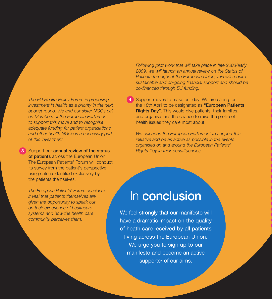*The EU Health Policy Forum is proposing investment in health as a priority in the next budget round. We and our sister NGOs call on Members of the European Parliament to support this move and to recognise adequate funding for patient organisations and other health NGOs is a necessary part of this investment.*

**3** Support our **annual review of the status of patients** across the European Union. The European Patients' Forum will conduct its survey from the patient's perspective, using criteria identified exclusively by the patients themselves.

*The European Patients' Forum considers it vital that patients themselves are given the opportunity to speak out on their experience of healthcare systems and how the health care community perceives them.* 

*Following pilot work that will take place in late 2008/early 2009, we will launch an annual review on the Status of Patients throughout the European Union; this will require sustainable and on-going financial support and should be co-financed through EU funding.*

**4** Support moves to make our day! We are calling for the 18th April to be designated as **"European Patients' Rights Day"**. This would give patients, their families, and organisations the chance to raise the profile of health issues they care most about.

*We call upon the European Parliament to support this initiative and be as active as possible in the events organised on and around the European Patients' Rights Day in their constituencies.*

## In **conclusion**

We feel strongly that our manifesto will have a dramatic impact on the quality of heath care received by all patients living across the European Union. We urge you to sign up to our manifesto and become an active supporter of our aims.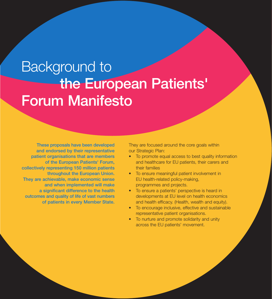## Background to **the European Patients' Forum Manifesto**

**These proposals have been developed and endorsed by their representative patient organisations that are members of the European Patients' Forum, collectively representing 150 million patients throughout the European Union. They are achievable, make economic sense and when implemented will make a significant difference to the health outcomes and quality of life of vast numbers of patients in every Member State.**

They are focused around the core goals within our Strategic Plan:

- To promote equal access to best quality information and healthcare for EU patients, their carers and their families
- To ensure meaningful patient involvement in EU health-related policy-making, programmes and projects.
- To ensure a patients' perspective is heard in developments at EU level on health economics and health efficacy. (Health, wealth and equity).
- To encourage inclusive, effective and sustainable representative patient organisations.
- To nurture and promote solidarity and unity across the EU patients' movement.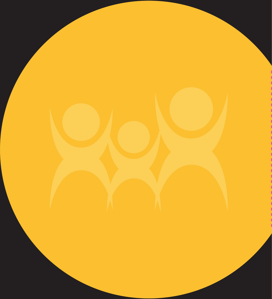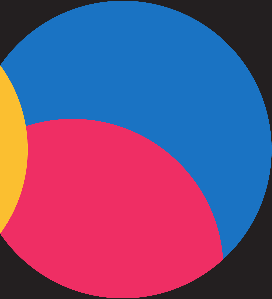